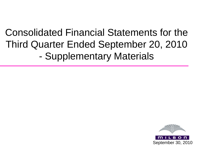# Consolidated Financial Statements for the Third Quarter Ended September 20, 2010 - Supplementary Materials

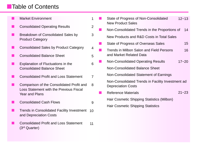# **Table of Contents**

Market Environment

- Consolidated Operating Results
- Breakdown of Consolidated Sales by Product Category
- Consolidated Sales by Product Category
- Consolidated Balance Sheet
- Explanation of Fluctuations in the Consolidated Balance Sheet
- Consolidated Profit and Loss Statement
- Comparison of the Consolidated Profit and Loss Statement with the Previous Fiscal Year and Plans 8
- Consolidated Cash Flows
- **TRETTING IN CONSOLIDATED FACILITY Investment** 10 and Depreciation Costs
- Consolidated Profit and Loss Statement (3rd Quarter) 11

| $\mathbf 1$    | State of Progress of Non-Consolidated<br><b>New Product Sales</b>              | $12 - 13$ |    |
|----------------|--------------------------------------------------------------------------------|-----------|----|
| $\overline{2}$ | Non-Consolidated Trends in the Proportions of                                  |           | 14 |
| 3              | New Products and R&D Costs in Total Sales                                      |           |    |
|                | State of Progress of Overseas Sales                                            |           | 15 |
| 4              | Trends in Milbon Salon and Field Persons                                       |           | 16 |
| 5              | and Market Related Data                                                        |           |    |
| 6              | <b>Non-Consolidated Operating Results</b>                                      | $17 - 20$ |    |
|                | <b>Non-Consolidated Balance Sheet</b>                                          |           |    |
| $\overline{7}$ | Non-Consolidated Statement of Earnings                                         |           |    |
| 8              | Non-Consolidated Trends in Facility Investment ad<br><b>Depreciation Costs</b> |           |    |
|                | <b>Reference Materials</b>                                                     | $21 - 23$ |    |
| 9              | Hair Cosmetic Shipping Statistics (Milbon)                                     |           |    |
|                | <b>Hair Cosmetic Shipping Statistics</b>                                       |           |    |
|                |                                                                                |           |    |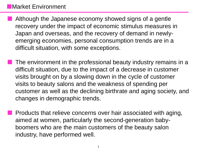# Market Environment

- Although the Japanese economy showed signs of a gentle recovery under the impact of economic stimulus measures in Japan and overseas, and the recovery of demand in newlyemerging economies, personal consumption trends are in a difficult situation, with some exceptions.
- The environment in the professional beauty industry remains in a difficult situation, due to the impact of a decrease in customer visits brought on by a slowing down in the cycle of customer visits to beauty salons and the weakness of spending per customer as well as the declining birthrate and aging society, and changes in demographic trends.
- Products that relieve concerns over hair associated with aging, aimed at women, particularly the second-generation babyboomers who are the main customers of the beauty salon industry, have performed well.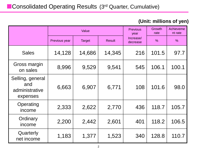## **(Unit: millions of yen)**

|                                                       |               | Value         |               | <b>Previous</b><br>year | Growth<br>rate | Achieveme<br>nt rate |
|-------------------------------------------------------|---------------|---------------|---------------|-------------------------|----------------|----------------------|
|                                                       | Previous year | <b>Target</b> | <b>Result</b> | Increase/<br>decrease   | $\frac{0}{0}$  | $\frac{0}{0}$        |
| <b>Sales</b>                                          | 14,128        | 14,686        | 14,345        | 216                     | 101.5          | 97.7                 |
| Gross margin<br>on sales                              | 8,996         | 9,529         | 9,541         | 545                     | 106.1          | 100.1                |
| Selling, general<br>and<br>administrative<br>expenses | 6,663         | 6,907         | 6,771         | 108                     | 101.6          | 98.0                 |
| Operating<br>income                                   | 2,333         | 2,622         | 2,770         | 436                     | 118.7          | 105.7                |
| Ordinary<br>income                                    | 2,200         | 2,442         | 2,601         | 401                     | 118.2          | 106.5                |
| Quarterly<br>net income                               | 1,183         | 1,377         | 1,523         | 340                     | 128.8          | 110.7                |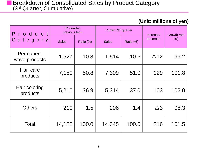### **(Unit: millions of yen)**

| roduct<br>P.               | 3rd quarter,<br>previous term |           | Current 3rd quarter |           | Increase/      | <b>Growth rate</b> |
|----------------------------|-------------------------------|-----------|---------------------|-----------|----------------|--------------------|
| Category                   | <b>Sales</b>                  | Ratio (%) | <b>Sales</b>        | Ratio (%) | decrease       | (% )               |
| Permanent<br>wave products | 1,527                         | 10.8      | 1,514               | 10.6      | $\triangle$ 12 | 99.2               |
| Hair care<br>products      | 7,180                         | 50.8      | 7,309               | 51.0      | 129            | 101.8              |
| Hair coloring<br>products  | 5,210                         | 36.9      | 5,314               | 37.0      | 103            | 102.0              |
| <b>Others</b>              | 210                           | 1.5       | 206                 | 1.4       | $\triangle 3$  | 98.3               |
| Total                      | 14,128                        | 100.0     | 14,345              | 100.0     | 216            | 101.5              |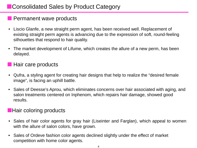# **E** Consolidated Sales by Product Category

## **Permanent wave products**

- Liscio Glanfe, a new straight perm agent, has been received well. Replacement of existing straight perm agents is advancing due to the expression of soft, round-feeling silhouettes that respond to hair quality.
- The market development of Lifume, which creates the allure of a new perm, has been delayed.

## **Hair care products**

- Qufra, a styling agent for creating hair designs that help to realize the "desired female image", is facing an uphill battle.
- Sales of Deesse's Aprou, which eliminates concerns over hair associated with aging, and salon treatments centered on Inphenom, which repairs hair damage, showed good results.

### **Hair coloring products**

- Sales of hair color agents for gray hair (Liseinter and Farglan), which appeal to women with the allure of salon colors, have grown.
- Sales of Ordeve fashion color agents declined slightly under the effect of market competition with home color agents.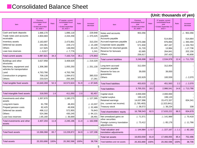## **Consolidated Balance Sheet**

#### Item Previous consolidated fiscal year < Ended December  $20.2009 >$ Ratio 3<sup>rd</sup> quarter, current consolidated fiscal year < Ended September  $20.2010 >$ Ratio Increase/ decrease Cash and bank deposits Trade notes and accounts receivable Inventory assets Deferred tax assets **Others** Loan loss reserves 1,666,170 2,804,683 2,163,697 244,361 117,925  $\triangle$  9.017 1,896,118 2,434,258 2,473,901 229,172 138,050  $\triangle$  7.776 229,948  $\triangle$  370,425 310,204  $\triangle$  15.189 20,125 1,241 Total current assets 6,987,821 34.3 7,163,724 35.1 175,903 Buildings and other structures Machinery, equipment and vehicles for transportation Land Construction in progress **Others** 3,627,958 1,306,380 4,763,766 709,139 233,024 3,408,629 1,055,250 4,763,766 1,094,672 250,305  $\triangle$  219.329  $\triangle$  251,130 - 385,533 17,281 Total tangible fixed assets  $\begin{vmatrix} 1 & 10,640,269 & 52.3 & 10,572,624 & 51.9 & \Delta 67,645 \end{vmatrix}$ Total intangible fixed assets | 318,593 | 1.6 411,050 | 2.0 92,457 Investments and other assets Long-term loans Prepaid pension costs Deferred tax assets **Others** Loan loss reserves 1,307,670 61,790 82,425 496,112 524,366  $\triangle$ 65,160 1,180,275 48,453 49,936 572,955 430,245  $\triangle$  36,669  $\triangle$  127.395  $\triangle$  13.337  $\triangle$  32,489 76,843  $\land$  94.121 28,491 Total investments and other assets 2,407,204 11.8 2,245,196 11.0 162,008 Total fixed assets 13,366,068 65.7 13,228,872 64.9 137,196 Total assets 20,353,890 100% 20,392,596 100% 38,706 Item Previous consolidated fiscal year < Ended December  $20.2009 >$ Ratio 3<sup>rd</sup> quarter, current consolidated fiscal year < Ended September 20,  $2010 >$ Ratio Increase/ decrease Notes and accounts payable Accounts payable Accrued expenses payable Corporate taxes payable Reserve for returned goods Reserve for bonuses **Others** 953,356 - 1,370,388 571,930 31,720 62,685 256,617 - 514,664 976,894 467,167 13,984 264,841 297,425  $\triangle$  953.356 514,664  $\triangle$  393.494  $\triangle$  104.763  $\triangle$ 17,736 202,156 40,808 Total current liabilities 3,246,698 16.0 2,534,978 12.4 711,720 Long-term accrued expenses payable Reserve for loss on guarantees **Others** 312,004 39,000 102,629 312,004 39,000 100,559 - -  $\triangle$  2.070 Total fixed liabilities  $\begin{array}{|c|c|c|c|c|c|c|c|c|} \hline \text{Total fixed liabilities} & 453.633 & 2.2 & 451.563 & 2.2 & \Delta 2.070 \hline \end{array}$ Total liabilities 3,700,331 18.2 2,986,541 14.6 713,790 Capital stock Capital surplus Retained earnings (Inc. current net income) Treasury stock 2,000,000 199,120 14,637,996 (1,785,483)  $\triangle$  38.572 2,000,000 199,120 15,472,337 (1,523,841)  $\triangle$  38.234 - - 834,341 338 Total shareholders' equity | 16,798,543 | 82.5 | 17,633,222 | 86.5 | 834,679 Net unrealized gains on other securities Foreign currency translation adiustments  $\triangle$  71.571  $\triangle$  73.412  $\triangle$  141.989  $\land$  85,178  $\triangle$  70.418  $\triangle$  11,766 Total valuation and translation adjustments  $\triangle$  144,984  $\triangle$  0.7  $\triangle$  227,167  $\triangle$  1.1  $\triangle$  82,183 Total net assets 16,653,559 81.8 17,406,055 85.4 752,496 Total liabilities and net assets 20,353,890 100% 20,392,596 100% 38,706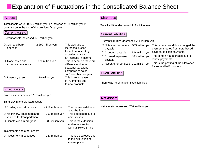# **Explanation of Fluctuations in the Consolidated Balance Sheet**

Total assets were 20,300 million yen, an increase of 38 million yen in comparison to the end of the previous fiscal year.

#### Current assets

Current assets increased 175 million yen.

| $\bigcirc$ Cash and bank<br>deposits | 2,290 million yen | This was due to<br>increases in cash |
|--------------------------------------|-------------------|--------------------------------------|
|                                      |                   | flows from operating                 |
|                                      |                   | activities, mainly                   |
|                                      |                   | an increase in income.               |
| $\circ$ Trade notes and              | - 370 million yen | This is because there are            |
| accounts receivable                  |                   | differences due to                   |
|                                      |                   | seasonal variations                  |
|                                      |                   | compared to sales                    |
|                                      |                   | in December last year.               |
| $\circ$ Inventory assets             | 310 million yen   | This is an increase                  |
|                                      |                   | in inventories due                   |
|                                      |                   | to new products.                     |
|                                      |                   |                                      |

#### Fixed assets

Fixed assets decreased 137 million yen.

#### Tangible/ intangible fixed assets

- 
- $\circlearrowright$  Machinery, equipment and vehicles for transportation
- $\circlearrowright$  Construction in progress

Investments and other assets

- 251 million yen
- 385 million yen
- $\circ$  Buildings and structures  $\qquad \qquad$  219 million yen This decreased due to amortization This decreased due to amortization This is the extension and reconstruction
	- work at Tokyo Branch.
- $\circ$  Investment in securities  $\qquad \qquad$  127 million yen This is a decrease due to the evaluation of market prices.

### **Assets Liabilities**

Total liabilities decreased 713 million yen.

#### Current liabilities

Current liabilities decreased 711 million yen.

|                                       |                   | $\circ$ Notes and accounts - 953 million yen] This is because Milbon changed the |
|---------------------------------------|-------------------|----------------------------------------------------------------------------------|
| payable                               |                   | payment method from note-based                                                   |
| $\circ$ Accounts payable              |                   | 514 million yen   payment to cash payments.                                      |
| ○ Accrued expenses                    | - 393 million yen | This is mainly a decrease due to                                                 |
| payable                               |                   | rebate payments.                                                                 |
| O Reserve for bonuses 202 million yen |                   | This is the posting of the allowance<br>for second half bonuses.                 |

#### Fixed liabilities

There was no change in fixed liabilities.

### **Net assets**

Net assets increased 752 million yen.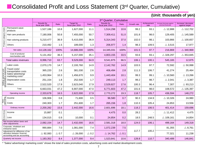# **Consolidated Profit and Loss Statement (3rd Quarter, Cumulative)**

### **(Unit: thousands of yen)**

|                         |                                                                                                   |                                        |                 |                                       |                 | 3rd Quarter, Cumulative                |                 |             |                     |                                                    |                                      |
|-------------------------|---------------------------------------------------------------------------------------------------|----------------------------------------|-----------------|---------------------------------------|-----------------|----------------------------------------|-----------------|-------------|---------------------|----------------------------------------------------|--------------------------------------|
|                         |                                                                                                   | <b>Results for</b><br>fiscal year 2009 | Ratio           | <b>Target for</b><br>fiscal year 2010 | Ratio           | <b>Results for</b><br>fiscal year 2010 | Ratio           | Growth rate | Achievement<br>rate | Increase/ decrease against<br>previous fiscal year | Increase/ decrease<br>against target |
|                         | Permanent wave<br>products                                                                        | 1,527,186                              | 10.8            | 1,627,000                             | 11.1            | 1,514,298                              | 10.6            | 99.2        | 93.1                | $\triangle$ 12,888                                 | $\triangle$ 112,702                  |
|                         | Hair care products                                                                                | 7,180,006                              | 50.8            | 7,455,000                             | 50.7            | 7,309,411                              | 51.0            | 101.8       | 98.0                | 129,405                                            | $\triangle$ 145,589                  |
| Product category totals | Hair coloring products                                                                            | 5,210,477                              | 36.9            | 5,415,000                             | 36.9            | 5,314,343                              | 37.0            | 102.0       | 98.1                | 103,866                                            | $\triangle$ 100,657                  |
|                         | <b>Others</b>                                                                                     | 210,492                                | 1.5             | 189,000                               | 1.3             | 206,977                                | 1.4             | 98.3        | 109.5               | $\triangle$ 3,515                                  | 17,977                               |
|                         | Net sales                                                                                         | 14,128,162                             | 100%            | 14,686,000                            | 100%            | 14,345,031                             | 100%            | 101.5       | 97.7                | 216,869                                            | $\triangle$ 340,969                  |
|                         | Cost of products/<br>merchandise sold                                                             | 5,131,452                              | 36.3            | 5,157,000                             | 35.1            | 4,803,155                              | 33.5            | 93.6        | 93.1                | $\triangle$ 328,297                                | $\triangle$ 353,845                  |
|                         | Total sales revenues                                                                              | 8,996,710                              | 63.7            | 9,529,000                             | 64.9            | 9,541,875                              | 66.5            | 106.1       | 100.1               | 545,165                                            | 12,875                               |
|                         | Labor costs                                                                                       | 2,070,170                              | 14.7            | 2,193,760                             | 14.9            | 2,142,762                              | 14.9            | 103.5       | 97.7                | 72,592                                             | $\triangle$ 50,998                   |
|                         | Travel costs/<br>transportation costs                                                             | 365,220                                | 2.6             | 381,030                               | 2.6             | 406,494                                | 2.8             | 111.3       | 106.7               | 41,274                                             | 25,464                               |
|                         | Sales/ advertising/<br>marketing costs*                                                           | 1,453,964                              | 10.3            | 1,456,670                             | 9.9             | 1,443,404                              | 10.1            | 99.3        | 99.1                | $\triangle$ 10,560                                 | $\triangle$ 13,266                   |
|                         | Depreciation costs                                                                                | 251,154                                | 1.8             | 252,500                               | 1.7             | 249,113                                | 1.7             | 99.2        | 98.7                | $\triangle$ 2,041                                  | $\triangle$ 3,387                    |
| inimps<br>inimi         | Others                                                                                            | 2,522,520                              | 17.9            | 2,623,040                             | 17.9            | 2,529,827                              | 17.6            | 100.3       | 96.4                | 7,307                                              | $\triangle$ 93,213                   |
|                         | Total                                                                                             | 6,663,031                              | 47.2            | 6,907,000                             | 47.0            | 6,771,603                              | 47.2            | 101.6       | 98.0                | 108,572                                            | $\triangle$ 135,397                  |
|                         | Operating income                                                                                  | 2,333,678                              | 16.5            | 2,622,000                             | 17.9            | 2,770,272                              | 19.3            | 118.7       | 105.7               | 436,594                                            | 148,272                              |
| Non-<br>operating       | Income                                                                                            | 106,906                                | 0.8             | 71,600                                | 0.5             | 96,580                                 | 0.7             | 90.3        | 134.9               | $\triangle$ 10,326                                 | 24,980                               |
|                         | Costs                                                                                             | 240,303                                | 1.7             | 251,600                               | 1.7             | 265,156                                | 1.8             | 110.3       | 105.4               | 24,853                                             | 13,556                               |
|                         | Ordinary income                                                                                   | 2,200,282                              | 15.6            | 2,442,000                             | 16.6            | 2,601,696                              | 18.1            | 118.2       | 106.5               | 401,414                                            | 159,696                              |
| Extraordinary           | Income                                                                                            | 15,887                                 | 0.1             |                                       |                 | 4,475                                  | 0.0             | 28.2        |                     | $\triangle$ 11,412                                 | 4,475                                |
|                         | Loss                                                                                              | 134,015                                | 0.9             | 10.000                                | 0.1             | 24,854                                 | 0.2             | 18.5        | 248.5               | $\triangle$ 109,161                                | 14,854                               |
|                         | Net income before taxes and<br>other adjustments                                                  | 2,082,154                              | 14.7            | 2,432,000                             | 16.6            | 2,581,318                              | 18.0            | 124.0       | 106.1               | 499,164                                            | 149,318                              |
|                         | Corporate, inhabitant and<br>enterprise taxes                                                     | 990,884                                | 7.0             | 1,081,000                             | 7.4             | 1,072,239                              | 7.5             |             |                     | 81,355                                             | $\triangle$ 8,761                    |
|                         | Adjustment for difference of tax<br>allocation between financial<br>accounting and tax accounting | $\triangle$ 92,083                     | $\triangle$ 0.7 | $\triangle$ 26,000                    | $\triangle$ 0.2 | $\triangle$ 14,762                     | $\triangle$ 0.1 | 117.7       | 100.2               | 77,321                                             | 11,238                               |
|                         | Quarterly net income                                                                              | 1,183,352                              | 8.4             | 1,377,000                             | 9.4             | 1,523,841                              | 10.6            | 128.8       | 110.7               | 340,489                                            | 146,841                              |

\* "Sales/ advertising/ marketing costs" shows the total of sales promotion costs, advertising costs and market development costs.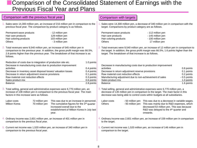## **Comparison of the Consolidated Statement of Earnings with the** Previous Fiscal Year and Plans

| Comparison with the previous fiscal year                                                                                                                                                                                                                                                                                                        |                                                                                                                                                                                |                                                                                                | Comparison with targets                                                                                                                                                                                                                                                   |                                                                                                                                                                                                                               |                                                                                     |
|-------------------------------------------------------------------------------------------------------------------------------------------------------------------------------------------------------------------------------------------------------------------------------------------------------------------------------------------------|--------------------------------------------------------------------------------------------------------------------------------------------------------------------------------|------------------------------------------------------------------------------------------------|---------------------------------------------------------------------------------------------------------------------------------------------------------------------------------------------------------------------------------------------------------------------------|-------------------------------------------------------------------------------------------------------------------------------------------------------------------------------------------------------------------------------|-------------------------------------------------------------------------------------|
| Sales were 14,300 million yen, an increase of 216 million yen in comparison to the<br>previous fiscal year. The comparison by product category is as follows.                                                                                                                                                                                   |                                                                                                                                                                                |                                                                                                | Sales were 14,300 million yen, a decrease of 340 million yen in comparison with the<br>target. Comparisons by product category are as follows.                                                                                                                            |                                                                                                                                                                                                                               |                                                                                     |
| Permanent wave products<br>Hair care products<br>Hair coloring products<br><b>Others</b>                                                                                                                                                                                                                                                        | - 12 million yen<br>129 million yen<br>103 million yen<br>- 3 million yen                                                                                                      |                                                                                                | Permanent wave products<br>Hair care products<br>Hair coloring products<br><b>Others</b>                                                                                                                                                                                  | - 112 million yen<br>- 145 million yen<br>- 100 million yen<br>17 million yen                                                                                                                                                 |                                                                                     |
| Total revenues were 9,540 million yen, an increase of 545 million yen in<br>comparison to the previous year. In addition, the gross profit margin was 66.5%,<br>2.8 points higher than the previous year. The breakdown of that increase is as<br>follows.                                                                                      |                                                                                                                                                                                |                                                                                                | 2. Total revenues were 9,540 million yen, an increase of 12 million yen in comparison to<br>the target. In addition, the gross profit margin was 66.5%, 1.6 points higher than the<br>target. The breakdown of that increase is as follows.                               |                                                                                                                                                                                                                               |                                                                                     |
| Reduction of costs due to integration of production site etc.<br>Decrease in manufacturing costs due to production improvement<br>activities<br>Decrease in inventory asset disposal losses/ valuation losses<br>Decrease in return adjustment reserve provisions<br>Raw material cost reduction effects<br>Sales product mix<br><b>Balance</b> |                                                                                                                                                                                | 1.0 points<br>0.4 points<br>0.4 points<br>0.1 points<br>0.3 points<br>0.6 points<br>2.8 points | Decrease in manufacturing costs due to production improvement<br>activities<br>Decrease in return adjustment reserve provisions<br>Raw material cost reduction effects<br>Manufacturing adjustment due to non-achievement of sales<br>Sales product mix<br><b>Balance</b> |                                                                                                                                                                                                                               | 0.8 points<br>0.1 points<br>0.2 points<br>$-0.5$ points<br>1.0 points<br>1.6 points |
| Total selling, general and administrative expenses were 6,770 million yen, an<br>increase of 108 million yen in comparison to the previous fiscal year. The main<br>factors in this increase were as follows.                                                                                                                                   |                                                                                                                                                                                |                                                                                                | 3. Total selling, general and administrative expenses were 6,770 million yen, a<br>decrease of 135 million yen in comparison to the target. The main factor in this<br>decrease was being able to control costs within budgets at all subsidiaries.                       |                                                                                                                                                                                                                               |                                                                                     |
| Labor costs<br>72 million yen<br>Milbon Korea<br>70 million yen                                                                                                                                                                                                                                                                                 | This was due to an increase in personnel.<br>The cumulative figures for the 3rd quarter<br>increased overall due to the<br>establishment of Milbon Korea in July last<br>year. |                                                                                                | Labor costs<br>- 93 million yen<br><b>Others</b>                                                                                                                                                                                                                          | - 50 million yen  This was due to a decrease in variable wages.<br>This was mainly due to R&D expenses, which<br>decreased 53 million yen. This was because<br>R&D was delayed to the 4 <sup>th</sup> quarter and<br>onwards. |                                                                                     |
| Ordinary income was 2,601 million yen, an increase of 401 million yen in<br>comparison to the previous fiscal year.                                                                                                                                                                                                                             |                                                                                                                                                                                |                                                                                                | Ordinary income was 2,601 million yen, an increase of 159 million yen in comparison<br>to the target.                                                                                                                                                                     |                                                                                                                                                                                                                               |                                                                                     |
| 5. Current net income was 1,520 million yen, an increase of 340 million yen in<br>comparison to the previous fiscal year.                                                                                                                                                                                                                       |                                                                                                                                                                                |                                                                                                | 5. Current net income was 1,520 million yen, an increase of 146 million yen in<br>comparison to the target.                                                                                                                                                               |                                                                                                                                                                                                                               |                                                                                     |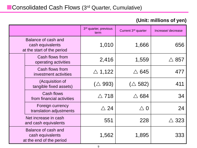### **(Unit: millions of yen)**

|                                                                       |                                                                     | 3rd quarter, previous<br>term | Current 3rd quarter | Increase/decrease    |
|-----------------------------------------------------------------------|---------------------------------------------------------------------|-------------------------------|---------------------|----------------------|
| Balance of cash and<br>cash equivalents<br>at the start of the period |                                                                     | 1,010                         | 1,666               | 656                  |
|                                                                       | Cash flows from<br>operating activities                             | 2,416                         | 1,559               | $\bigtriangleup$ 857 |
|                                                                       | Cash flows from<br>investment activities                            | $\triangle$ 1,122             | $\triangle$ 645     | 477                  |
|                                                                       | (Acquisition of<br>tangible fixed assets)                           | $(\triangle 993)$             | $(\triangle$ 582)   | 411                  |
|                                                                       | <b>Cash flows</b><br>from financial activities                      | $\triangle$ 718               | $\triangle$ 684     | 34                   |
|                                                                       | Foreign currency<br>translation adjustments                         | $\bigtriangleup$ 24           | $\triangle~0$       | 24                   |
|                                                                       | Net increase in cash<br>and cash equivalents                        | 551                           | 228                 | $\bigtriangleup$ 323 |
|                                                                       | Balance of cash and<br>cash equivalents<br>at the end of the period | 1,562                         | 1,895               | 333                  |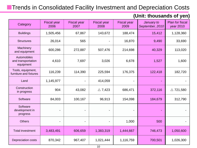# **Trends in Consolidated Facility Investment and Depreciation Costs**

| Category                                       | <b>Fiscal year</b><br>2006 | <b>Fiscal year</b><br>2007 | <b>Fiscal year</b><br>2008 | <b>Fiscal year</b><br>2009 | January to<br>September, 2010 | <b>Plan for fiscal</b><br>year 2010 |
|------------------------------------------------|----------------------------|----------------------------|----------------------------|----------------------------|-------------------------------|-------------------------------------|
| <b>Buildings</b>                               | 1,505,456                  | 67,867                     | 143,672                    | 188,474                    | 15,412                        | 1,128,360                           |
| <b>Structures</b>                              | 26,014                     | 565                        |                            | 16,870                     | 9,490                         | 33,690                              |
| Machinery<br>and equipment                     | 600,286                    | 272,887                    | 507,476                    | 214,698                    | 40,329                        | 113,020                             |
| Automobiles<br>and transportation<br>equipment | 4,610                      | 7,697                      | 3,026                      | 6,678                      | 1,527                         | 1,600                               |
| Tools, equipment,<br>furniture and fixtures    | 116,239                    | 114,390                    | 225,594                    | 176,375                    | 122,418                       | 182,720                             |
| Land                                           | 1,145,977                  |                            | 414,059                    |                            |                               |                                     |
| Construction<br>in progress                    | 904                        | 43,082                     | $\triangle$ 7,423          | 686,471                    | 372,116                       | $\triangle$ 721,580                 |
| Software                                       | 84,003                     | 100,167                    | 96,913                     | 154,098                    | 184,679                       | 312,790                             |
| Software<br>development in<br>progress         |                            | $\blacksquare$             |                            |                            |                               |                                     |
| <b>Others</b>                                  |                            |                            |                            | 1,000                      | 500                           |                                     |
| <b>Total investment</b>                        | 3,483,491                  | 606,659                    | 1,383,319                  | 1,444,667                  | 746,473                       | 1,050,600                           |
| <b>Depreciation costs</b>                      | 870,342                    | 967,407                    | 1,021,444                  | 1,116,759                  | 700,501                       | 1,026,300                           |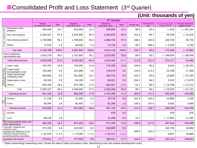# **Consolidated Profit and Loss Statement** (3rd Quarter)

|                         |                                                                                                                                 |                                        |                                                                                                                                                                                                                                                |                    |                 | 3rd Quarter        |                 |       |       |                     |                     |  |  |
|-------------------------|---------------------------------------------------------------------------------------------------------------------------------|----------------------------------------|------------------------------------------------------------------------------------------------------------------------------------------------------------------------------------------------------------------------------------------------|--------------------|-----------------|--------------------|-----------------|-------|-------|---------------------|---------------------|--|--|
|                         |                                                                                                                                 | <b>Results</b><br>for fiscal year 2009 | <b>Results for</b><br><b>Target for</b><br>Increase/ decrease<br>Achievement<br>Increase/ decrease against<br>Ratio<br>Ratio<br>Ratio<br>Growth rate<br>fiscal year 2010<br>fiscal year 2010<br>previous fiscal year<br>rate<br>against target |                    |                 |                    |                 |       |       |                     |                     |  |  |
|                         | Permanent wave<br>products                                                                                                      | 509,449                                | 10.7                                                                                                                                                                                                                                           | 610,000            | 12.2            | 508,806            | 10.4            | 99.9  | 83.4  | $\triangle$ 643     | $\triangle$ 101,194 |  |  |
| Product category totals | Hair care products                                                                                                              | 2,443,327                              | 51.6                                                                                                                                                                                                                                           | 2,515,000          | 50.4            | 2,482,875          | 50.5            | 101.6 | 98.7  | 39,548              | $\triangle$ 32,125  |  |  |
|                         | Hair coloring products                                                                                                          | 1,708,998                              | 36.1                                                                                                                                                                                                                                           | 1,798,000          | 36.0            | 1,848,726          | 37.6            | 108.2 | 102.8 | 139,728             | 50,726              |  |  |
|                         | Others                                                                                                                          | 77,015                                 | 1.6                                                                                                                                                                                                                                            | 68,000             | 1.4             | 73,730             | 1.5             | 95.7  | 108.4 | $\triangle$ 3,285   | 5,730               |  |  |
|                         | Net sales                                                                                                                       | 4,738,788                              | 100%                                                                                                                                                                                                                                           | 4,991,000          | 100%            | 4,914,138          | 100%            | 103.7 | 98.5  | 175,350             | $\triangle$ 76,862  |  |  |
|                         | Cost of products/<br>merchandise sold                                                                                           | 1,812,278                              | 38.2                                                                                                                                                                                                                                           | 1,752,000          | 35.1            | 1,613,452          | 32.8            | 89.0  | 92.1  | $\triangle$ 198,826 | $\triangle$ 138,548 |  |  |
|                         | Total sales revenues                                                                                                            | 2,926,509                              | 61.8                                                                                                                                                                                                                                           | 3,239,000          | 64.9            | 3,300,686          | 67.2            | 112.8 | 101.9 | 374,177             | 61,686              |  |  |
|                         | Labor costs                                                                                                                     | 703,762                                | 14.9                                                                                                                                                                                                                                           | 745,550            | 14.9            | 710,306            | 14.5            | 100.9 | 95.3  | 6,544               | $\triangle$ 35,244  |  |  |
|                         | Travel costs/<br>transportation costs                                                                                           | 125,280                                | 2.6                                                                                                                                                                                                                                            | 131,680            | 2.6             | 149,078            | 3.0             | 119.0 | 113.2 | 23,798              | 17,398              |  |  |
|                         | Sales/advertising/<br>marketing costs*                                                                                          | 450,856                                | 9.5                                                                                                                                                                                                                                            | 501,890            | 10.1            | 464,725            | 9.5             | 103.1 | 92.6  | 13,869              | $\triangle$ 37,165  |  |  |
|                         | Depreciation costs                                                                                                              | 85,103                                 | 1.8                                                                                                                                                                                                                                            | 94,100             | 1.9             | 88,621             | 1.8             | 104.1 | 94.2  | 3,518               | $\triangle$ 5,479   |  |  |
| 틈                       | Others                                                                                                                          | 920,325                                | 19.4                                                                                                                                                                                                                                           | 874,780            | 17.5            | 843,567            | 17.2            | 91.7  | 96.4  | $\triangle$ 76,758  | $\triangle$ 31,213  |  |  |
|                         | Total                                                                                                                           | 2,285,327                              | 48.2                                                                                                                                                                                                                                           | 2,348,000          | 47.0            | 2,256,298          | 45.9            | 98.7  | 96.1  | $\triangle$ 29,029  | $\triangle$ 91,702  |  |  |
|                         | Operating income                                                                                                                | 641,182                                | 13.5                                                                                                                                                                                                                                           | 891,000            | 17.9            | 1,044,388          | 21.3            | 162.9 | 117.2 | 403,206             | 153,388             |  |  |
| Non-<br>operating       | Income                                                                                                                          | 17,738                                 | 0.4                                                                                                                                                                                                                                            | 21,400             | 0.4             | 28,718             | 0.6             | 161.9 | 134.2 | 10,980              | 7,318               |  |  |
|                         | Costs                                                                                                                           | 85,994                                 | 1.8                                                                                                                                                                                                                                            | 85,400             | 1.7             | 91,399             | 1.9             | 106.3 | 107.0 | 5,405               | 5,999               |  |  |
|                         | Ordinary income                                                                                                                 | 572,926                                | 12.1                                                                                                                                                                                                                                           | 827,000            | 16.6            | 981,706            | 20.0            | 171.3 | 118.7 | 408,780             | 154,706             |  |  |
| Extraordinary           | Income                                                                                                                          |                                        |                                                                                                                                                                                                                                                |                    |                 | 978                | 0.0             |       |       | 978                 | 978                 |  |  |
|                         | Loss                                                                                                                            | 89,139                                 | 1.9                                                                                                                                                                                                                                            |                    |                 | 11,285             | 0.2             | 12.7  |       | $\triangle$ 77,854  | 11,285              |  |  |
|                         | Net income before taxes and<br>other adjustments                                                                                | 483,786                                | 10.2                                                                                                                                                                                                                                           | 827,000            | 16.6            | 971,399            | 19.8            | 200.8 | 117.5 | 487,613             | 144,399             |  |  |
|                         | Corporate, inhabitant and<br>enterprise taxes                                                                                   | 275,155                                | 5.8                                                                                                                                                                                                                                            | 422,000            | 8.5             | 440,890            | 9.0             |       |       | 165,735             | 18,890              |  |  |
|                         | Adjustment for difference of tax<br>allocation between financial<br>accounting and tax accounting                               | $\triangle$ 61,979                     | $\triangle$ 1.3                                                                                                                                                                                                                                | $\triangle$ 72,000 | $\triangle$ 1.4 | $\triangle$ 55,312 | $\triangle$ 1.1 | 180.9 | 110.2 | 6,667               | 16,688              |  |  |
|                         | Quarterly net income                                                                                                            | 270,611                                | 5.7                                                                                                                                                                                                                                            | 477,000            | 9.6             | 585,821            | 11.9            | 216.5 | 122.8 | 315,210             | 108,821             |  |  |
|                         | "Sales/ advertising/ marketing costs" shows the total of sales promotion costs, advertising costs and market development costs. |                                        |                                                                                                                                                                                                                                                |                    |                 |                    |                 |       |       |                     |                     |  |  |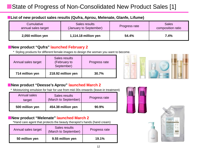# State of Progress of Non-Consolidated New Product Sales [1]

### **List of new product sales results (Qufra, Aprou, Melenate, Glanfe, Lifume)**

| Cumulative          | Sales results          | Progress rate | <b>Sales</b>      |
|---------------------|------------------------|---------------|-------------------|
| annual sales target | (January to September) |               | composition ratio |
| 2,050 million yen   | $1,114.18$ million yen |               | 7.4%              |

### **New product "Qufra" launched February 2**

\* Styling products for different female images to design the woman you want to become.

| Annual sales target | Sales results<br>(February to<br>September) | Progress rate |
|---------------------|---------------------------------------------|---------------|
| 714 million yen     | 218.92 million yen                          | 30.7%         |



### **New product "Deesse's Aprou" launched March 2**

Moisturizing emulsion for hair for use from mid-30s onwards (leave-in treatment)

| Annual sales<br>target | Sales results<br>(March to September) | Progress rate |
|------------------------|---------------------------------------|---------------|
| 500 million yen        | 454.38 million yen                    | 90.9%         |

### **New product "Melenate" launched March 2**

\*Hand care agent that protects the beauty therapist's hands (hand cream)

| Annual sales target | Sales results<br>(March to September) | Progress rate |
|---------------------|---------------------------------------|---------------|
| 50 million yen      | 9.55 million yen                      | 19.1%         |



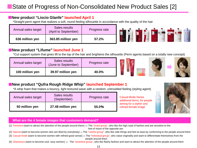#### **New product "Liscio Glanfe" launched April 1**

\*Straight perm agent that realizes a soft, round-feeling silhouette in accordance with the quality of the hair

| Annual sales target | Sales results<br>(April to September) | Progress rate |
|---------------------|---------------------------------------|---------------|
| 636 million yen     | 363.85 million yen                    | 57.2%         |

### **New product "Lifume" launched June 1**

\*Cut support system that gives lift to the top of the hair and brightens the silhouette (Perm agents based on a totally new concept)

| Annual sales target | Sales results<br>(June to September) | Progress rate |  |  |
|---------------------|--------------------------------------|---------------|--|--|
| 100 million yen     | 39.97 million yen                    | 40.0%         |  |  |

### **New product "Qufra Rough Ridge Whip" launched September 1**

\*A whip foam that makes a bouncy, light textured wave with a random, untroubled feeling (styling agent)

| Annual sales target | Sales results<br>(September) | Progress rate |  |
|---------------------|------------------------------|---------------|--|
| 50 million yen      | 27.48 million yen            | 55.0%         |  |

#### Casual Mode Series additional items, for people aiming for a stylish and refined female image



#### **What are the 4 female images that customers demand?**

[1] Feminine (want to attract the attention of the people around them) ⇒ The "loved group", who like the high road of fashion and are sensitive to the line of vision of the opposite sex

[2] Natural (want to become women who are liked by everybody)  $\Rightarrow$  The "careful group", who like safe things and feel at ease by conforming to the people around them

- [3] Casual mode (want to become women with refined good sense)  $\Rightarrow$  The "individual group", who value originality and want to differentiate themselves from the people around them
- [4] Glamorous (want to become cool, sexy women)  $\Rightarrow$  The "assertive group", who like flashy fashion and want to attract the attention of the people around them

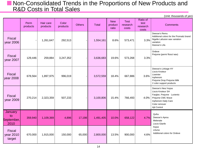## **Non-Consolidated Trends in the Proportions of New Products and** R&D Costs in Total Sales

|                                      | Perm<br>products | Hair care<br>products | Color<br>products | <b>Others</b> | <b>Total</b> | <b>New</b><br>product<br>ratio | <b>Test</b><br>research<br>costs | Ratio of<br>test<br>research<br>costs | <b>Comments</b>                                                                                                                                   |
|--------------------------------------|------------------|-----------------------|-------------------|---------------|--------------|--------------------------------|----------------------------------|---------------------------------------|---------------------------------------------------------------------------------------------------------------------------------------------------|
| <b>Fiscal</b><br>year 2006           |                  | 1,261,647             | 292,513           |               | 1,554,161    | 8.6%                           | 573,471                          | 3.3%                                  | Deesse's Remu<br>Additional colors for the Promatiz brand<br>Nigelle Lafusion wax variation<br>variation<br>Deesse's Lifa                         |
| <b>Fiscal</b><br>year 2007           | 129,446          | 259,884               | 3,247,352         |               | 3,636,683    | 19.6%                          | 573,268                          | 3.3%                                  | Ordeve<br>Prejume (perm/floss/wax)                                                                                                                |
| <b>Fiscal</b><br>year 2008           | 678,564          | 1,897,975             | 996,019           |               | 3,572,559    | 18.4%                          | 667,886                          | 3.6%                                  | Deesse's Linkage HY<br>Liscio Knoteur<br>Liseinter<br>Inphenom<br>Prejume Drop Prejume Milk<br>2 color support products                           |
| <b>Fiscal</b><br>year 2009           | 270,214          | 2,323,359             | 507,233           |               | 3,100,806    | 15.4%                          | 766,493                          | 4.0%                                  | Deesse's Neu/ Aujua<br>Liscio Knoteur SH<br>Farglan, Prejume Luviento<br>Prejume CMC Wave<br>Inphenom Daily Care<br>Color remover<br>Ajit Control |
| January<br>to<br>September,<br>2010  | 359,940          | 1,109,369             | 4,896             | 17,198        | 1,491,405    | 10.0%                          | 658,122                          | 4.7%                                  | Qufra<br>Deesse's Aprou<br>Melenate<br>Liscio Glanfe                                                                                              |
| <b>Fiscal</b><br>year 2010<br>target | 670,000          | 1,915,000             | 150,000           | 65,000        | 2,800,000    | 13.5%                          | 900,000                          | 4.6%                                  | Aujua<br>Lifume<br>Additional colors for Ordeve                                                                                                   |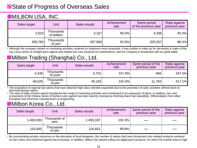# **State of Progress of Overseas Sales**

# **MILBON USA, INC.**

| Sales target | Unit                    | Sales results | Achievement<br>rate | Same period<br>of the previous year | Ratio against<br>previous year |
|--------------|-------------------------|---------------|---------------------|-------------------------------------|--------------------------------|
| 3,520        | Thousands<br>of dollars | 3,167         | $90.0\%$            | 3,396                               | 93.3%                          |
| 309,760      | Thousands<br>of yen     | 287,869       | 92.9%               | 325,557                             | 88.4%                          |

 Although the company started on marketing activities centered on treatment menu proposals, it was unable to make up for decreases in sales of the key Liscio series of straight perm agents and related hair care products for maintenance, and the company is threatened with an uphill battle.

# Milbon Trading (Shanghai) Co., Ltd.

| Sales target | Unit                 | Sales results | <b>Achievement</b><br>rate | Same period of the<br>previous year | Ratio against<br>previous year |
|--------------|----------------------|---------------|----------------------------|-------------------------------------|--------------------------------|
| 3,430        | Thousands<br>of yuan | 3,701         | 107.9%                     | 846                                 | 437.5%                         |
| 48,025       | Thousands<br>of ven  | 49,193        | $102.4\%$                  | 11,794                              | 417.1%                         |

 The acquisition of regional top salons that have obtained high-class clientele expanded due to the promotion of sales activities refined down to dominant beauty salons.

 The start of sales of perm agents broadened the range of marketing activities and contributed to an expansion of items. In addition, the color composition of the Ordeve series of fashion color agents has been warmly received as finishing black hair beautifully. Differentiation from other European and American manufacturers is progressing.

# Milbon Korea Co., Ltd.

| Sales target | Unit                | Sales results | Achievement<br>rate | Same period of the<br>previous year | Ratio against<br>previous year |
|--------------|---------------------|---------------|---------------------|-------------------------------------|--------------------------------|
| 1,460,000    | Thousands of<br>won | 1,493,187     | 102.3%              |                                     |                                |
| 116,800      | Thousands<br>of yen | 116,601       | 99.8%               |                                     |                                |

 By concentrating activity resources on the education of local designers, the number of salons that have introduced color-related products centered on hair colors and treatment agents has increased. In addition, Milbon has started rolling out digital perm products, for which the market need is high.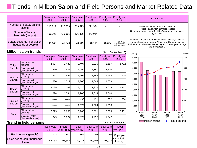# **Trends in Milbon Salon and Field Persons and Market Related Data**

|                                                     | <b>Fiscal year</b><br>2005 | <b>Fiscal year</b><br>2006 | Fiscal year<br>2007 | Fiscal year<br>2008 | Fiscal year<br>2009 | <b>Fiscal year</b><br>2010                         | Comments                                                                                                                                                                                               |  |
|-----------------------------------------------------|----------------------------|----------------------------|---------------------|---------------------|---------------------|----------------------------------------------------|--------------------------------------------------------------------------------------------------------------------------------------------------------------------------------------------------------|--|
| Number of beauty salons<br>(salons)                 | 215.719                    | 217.769                    | 219.573             | 221,394             |                     |                                                    | Ministry of Health, Labor and Welfare<br>Public Health Administration Report                                                                                                                           |  |
| Number of beauty<br>therapists (people)             | 416,707                    | 431,685                    | 435,275             | 443,944             |                     |                                                    | Number of beauty salon facilities/ number of employees<br>(year-end)                                                                                                                                   |  |
| Beauty customer population<br>(thousands of people) | 41,646                     | 41.646                     | 40.519              | 40.119              | 40,624              | 39,610<br>*Figure confirmed<br>as of April 1, 2010 | National Census Report Population Statistics, Statistics<br>Bureau, Ministry of Internal Affairs and Communications<br>Estimated population of females aged 15 to 64 years of age<br>(as of October 1) |  |

| <b>Milbon salon trends</b><br>(As of September 13) |                                       |                            |                            |                            |                            |                            |                     |
|----------------------------------------------------|---------------------------------------|----------------------------|----------------------------|----------------------------|----------------------------|----------------------------|---------------------|
|                                                    |                                       | <b>Fiscal year</b><br>2005 | <b>Fiscal year</b><br>2006 | <b>Fiscal year</b><br>2007 | <b>Fiscal year</b><br>2008 | <b>Fiscal year</b><br>2009 | Fiscal year<br>2010 |
| Tokyo                                              | Milbon salons<br>(salons)             | 2,927                      | 2,439                      | 2,404                      | 2,210                      | 2,657                      | 2,702               |
| <b>Branch</b>                                      | Sales per salon<br>(thousands of yen) | 1,679                      | 1,937                      | 1,999                      | 2,160                      | 2,170                      |                     |
| Nagoya                                             | Milbon salons<br>(salons)             | 1,521                      | 1,452                      | 1,505                      | 1,368                      | 1,558                      | 1,628               |
| <b>Branch</b>                                      | Sales per salon<br>(thousands of yen) | 1,636                      | 1,711                      | 1,706                      | 1,848                      | 1,559                      |                     |
| Osaka                                              | Milbon salons<br>(salons)             | 3,125                      | 2,769                      | 2,416                      | 2,312                      | 2,616                      | 2,457               |
| <b>Branch</b>                                      | Sales per salon<br>(thousands of yen) | 1,628                      | 1,784                      | 1,908                      | 2,013                      | 2,040                      |                     |
| Fukuoka                                            | Milbon salons<br>(salons)             |                            |                            | 435                        | 431                        | 552                        | 654                 |
| <b>Branch</b>                                      | Sales per salon<br>(thousands of yen) |                            | -----                      | 1,572                      | 1,564                      | 1,538                      |                     |
|                                                    | Milbon salons<br>(salons)             | 7,573                      | 6,660                      | 6,760                      | 6,321                      | 7,383                      | 7,451               |
| Total                                              | Sales per salon<br>(thousands of yen) | 1,649                      | 1,824                      | 1,872                      | 1,997                      | 1,947                      |                     |

| <b>Trend in field persons</b> |  |
|-------------------------------|--|
|-------------------------------|--|

|                                         | Fiscal year<br>2005 | Fiscal | Fiscal<br>year 2006 vear 2007 | <b>Fiscal year Fiscal year</b><br>2008 | 2009       | <b>Fiscal</b><br>year $2010$ |  |
|-----------------------------------------|---------------------|--------|-------------------------------|----------------------------------------|------------|------------------------------|--|
| Field persons (people)                  | 172l                | 180    | 197                           | 202l                                   | <b>206</b> | 22 people                    |  |
| Sales per person (thousands)<br>of ven) | 96.032              | 95.689 | 89.475                        | 90.705                                 | 91.971     | currently in<br>training     |  |

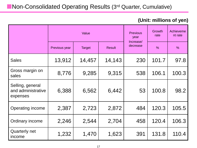# **Non-Consolidated Operating Results (3rd Quarter, Cumulative)**

### **(Unit: millions of yen)**

|                                                    |               | Value         |               | <b>Previous</b><br>year<br>Increase/ | Growth<br>rate | Achieveme<br>nt rate |
|----------------------------------------------------|---------------|---------------|---------------|--------------------------------------|----------------|----------------------|
|                                                    | Previous year | <b>Target</b> | <b>Result</b> | decrease                             | $\frac{0}{0}$  | $\frac{0}{0}$        |
| <b>Sales</b>                                       | 13,912        | 14,457        | 14,143        | 230                                  | 101.7          | 97.8                 |
| Gross margin on<br>sales                           | 8,776         | 9,285         | 9,315         | 538                                  | 106.1          | 100.3                |
| Selling, general<br>and administrative<br>expenses | 6,388         | 6,562         | 6,442         | 53                                   | 100.8          | 98.2                 |
| Operating income                                   | 2,387         | 2,723         | 2,872         | 484                                  | 120.3          | 105.5                |
| Ordinary income                                    | 2,246         | 2,544         | 2,704         | 458                                  | 120.4          | 106.3                |
| Quarterly net<br>income                            | 1,232         | 1,470         | 1,623         | 391                                  | 131.8          | 110.4                |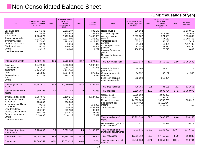# **Non-Consolidated Balance Sheet**

#### Item Previous fiscal year < Ended December  $20.2009 >$ Ratio 3<sup>rd</sup> quarter, current <sub>l</sub>uanor, car<br>fiscal vear < Ended September 20,  $2010 -$ Ratio Increase/ decrease Notes payable Accounts payable Accrued expenses payable Corporate taxes payable Consumption taxes payable Reserve for returned goods Reserve for bonuses **Others** 530,562 422,793 1,369,037 571,930 75,637 31,720 61,080 158,278 - 514,421 974,530 467,167 58,218 13,984 263,470 177,740  $\triangle$  530,562 91,628  $\land$  394,507  $\triangle$  104.763  $\triangle$  17.419  $\triangle$  17,736 202,390 19,462 Total current liabilities | 3.221.040 | 15.7 | 2.469.532 | 12.0 | △ 751.508 Reserve for loss on guarantees Guarantee deposits received Long-term accrued expenses payable 39,000 84,752 312,004 39,000 83,187 312,004 -  $\triangle$  1.565 - Total fixed liabilities  $\begin{array}{|c|c|c|c|c|c|c|c|c|} \hline \end{array}$  435,756 2.1 434,191 2.1  $\Delta$  1,565 Total liabilities 3,656,797 17.8 2,903,724 14.1 753,073 Capital stock Capital surplus Retained earnings (Inc. current net income) Treasury stock 2,000,000 199,120 14,802,786 (1,827,372)  $\triangle$  38,572 2,000,000 199,120 15,736,703 (1,623,416)  $\triangle$  38,234 - - 933,917 338 Total shareholders' equity 16,963,333 82.6 17,897,588 86.6 934,255 Net unrealized gains on other securities  $\triangle$  71,571  $\parallel$   $\triangle$  141,989  $\parallel$   $\triangle$  70,418 Total valuation and translation adjustments  $\triangle$  71.571  $\triangle$  0.3  $\triangle$  141.989  $\triangle$  0.7  $\triangle$  70.418 Total net assets 16,891,762 82.2 17,755,598 85.9 863,836 Total liabilities and net assets 20,548,559 100% 20,659,323 100% 110,764 Item Previous fiscal year < Ended December  $20.2009 >$ Ratio 3<sup>rd</sup> quarter, current fiscal year < Ended September 20,  $2010 >$ Ratio Increase/ decrease Cash and bank deposits Trade notes Accounts receivable Inventory assets Deferred tax assets Short term loan **Others** Loan loss reserves 1,275,141 618,989 2,264,079 2,038,299 217,900 6,174 79,131  $\triangle$  9,315 1,661,287 728,448 1,769,044 2,313,696 193,452 6,516 100,625  $\triangle$  8,043 386,146 109,459  $\triangle$  495.035 275,397  $\triangle$  24.448 342 21,494 1,272 Total current assets 6,490,401 31.6 6,765,029 32.7 274,628 **Buildings** Machinery and equipment Land Construction in progress **Others** 3,442,965 1,297,510 4,763,766 721,585 331,242 3,235,900 1,048,185 4,763,766 1,094,672 348,279  $\triangle$  207.065  $\triangle$  249.325 - 373,087 17,037 Total tangible fixed assets 10,557,070 51,4 10,490,804 50.8 △ 66,266 Total intangible fixed assets 300,393 1.5 401,356 1.9 100,963 Investment securities Shares in affiliated companies Investment in affiliated companies Long-term loans Prepaid pension costs Deferred tax assets **Others** Loan loss reserves 1,307,670 616,369 280,000 9,265 82,425 456,737 486,323  $\triangle$  38.097 1,180,275 616,369 280,000 7,877 49,936 539,188 338,610  $\triangle$  10.125  $\triangle$  127,395 - -  $\triangle$  1.388  $\triangle$  32,489 82,451  $\triangle$  147.713 27,972 Total investments and other assets  $3,200.693$  15.6  $3,002.133$  14.5  $\triangle$  198,560 Total fixed assets 14,058,158 | 68.4 | 13,894,293 | 67.3 |  $\triangle$  163,865 Total assets 20,548,559 100% 20,659,323 100% 110,764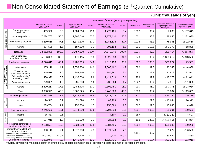# **Non-Consolidated Statement of Earnings (3rd Quarter, Cumulative)**

|                                                 |                                                                                                                                                           | Cumulative 3rd quarter (January to September) |                 |                                       |                 |                                        |                 |             |                     |                                                       |                                      |  |  |
|-------------------------------------------------|-----------------------------------------------------------------------------------------------------------------------------------------------------------|-----------------------------------------------|-----------------|---------------------------------------|-----------------|----------------------------------------|-----------------|-------------|---------------------|-------------------------------------------------------|--------------------------------------|--|--|
|                                                 |                                                                                                                                                           | <b>Results for fiscal</b><br>year 2009        | Ratio           | <b>Target for fiscal</b><br>year 2010 | Ratio           | <b>Results for fiscal</b><br>year 2010 | Ratio           | Growth rate | Achievement<br>rate | Increase/ decrease<br>against previous<br>fiscal year | Increase/ decrease<br>against target |  |  |
|                                                 | Permanent wave<br>products                                                                                                                                | 1,469,932                                     | 10.6            | 1,584,810                             | 11.0            | 1,477,165                              | 10.4            | 100.5       | 93.2                | 7,233                                                 | $\triangle$ 107,645                  |  |  |
|                                                 | Hair care products                                                                                                                                        | 7,024,765                                     | 50.5            | 7,306,040                             | 50.5            | 7,173,410                              | 50.7            | 102.1       | 98.2                | 148,645                                               | $\triangle$ 132,630                  |  |  |
| Product category totals                         | Hair coloring products                                                                                                                                    | 5,210,658                                     | 37.5            | 5,379,170                             | 37.2            | 5,286,614                              | 37.4            | 101.5       | 98.3                | 75,956                                                | $\triangle$ 92,556                   |  |  |
|                                                 | <b>Others</b>                                                                                                                                             | 207,528                                       | 1.5             | 187,330                               | 1.3             | 206,158                                | 1.5             | 99.3        | 110.1               | $\triangle$ 1,370                                     | 18,828                               |  |  |
|                                                 | Net sales                                                                                                                                                 | 13,912,885                                    | 100%            | 14,457,350                            | 100%            | 14,143,349                             | 100%            | 101.7       | 97.8                | 230,464                                               | $\triangle$ 314,001                  |  |  |
|                                                 | Cost of products/<br>merchandise sold                                                                                                                     | 5,136,065                                     | 36.9            | 5,171,415                             | 35.8            | 4,827,853                              | 34.1            | 94.0        | 93.4                | $\triangle$ 308,212                                   | $\triangle$ 343,562                  |  |  |
|                                                 | Total sales revenues                                                                                                                                      | 8,776,819                                     | 63.1            | 9,285,935                             | 64.2            | 9,315,496                              | 65.9            | 106.1       | 100.3               | 538,677                                               | 29,561                               |  |  |
|                                                 | Labor costs                                                                                                                                               | 1,965,119                                     | 14.1            | 2,053,300                             | 14.2            | 2,008,462                              | 14.2            | 102.2       | 97.8                | 43,343                                                | $\triangle$ 44,838                   |  |  |
| Selling, general and<br>administrative expenses | Travel costs/<br>transportation costs                                                                                                                     | 355,519                                       | 2.6             | 354,850                               | 2.5             | 386,397                                | 2.7             | 108.7       | 108.9               | 30,878                                                | 31,547                               |  |  |
|                                                 | Sales/ advertising/<br>marketing costs <sup>*</sup>                                                                                                       | 1,438,992                                     | 10.3            | 1,432,660                             | 9.9             | 1,421,619                              | 10.1            | 98.8        | 99.2                | $\triangle$ 17,373                                    | $\triangle$ 11,041                   |  |  |
|                                                 | Depreciation costs                                                                                                                                        | 229,091                                       | 1.6             | 235,300                               | 1.6             | 233,904                                | 1.7             | 102.1       | 99.4                | 4,813                                                 | $\triangle$ 1,396                    |  |  |
|                                                 | Others                                                                                                                                                    | 2,400,257                                     | 17.3            | 2,486,415                             | 17.2            | 2,392,481                              | 16.9            | 99.7        | 96.2                | $\triangle$ 7,776                                     | $\triangle$ 93,934                   |  |  |
|                                                 | Total                                                                                                                                                     | 6,388,979                                     | 45.9            | 6,562,525                             | 45.4            | 6,442,866                              | 45.6            | 100.8       | 98.2                | 53,887                                                | $\triangle$ 119,659                  |  |  |
|                                                 | Operating income                                                                                                                                          | 2,387,839                                     | 17.2            | 2,723,410                             | 18.8            | 2,872,629                              | 20.3            | 120.3       | 105.5               | 484,790                                               | 149,219                              |  |  |
| Non-<br>operating                               | Income                                                                                                                                                    | 98,547                                        | 0.7             | 71,590                                | 0.5             | 87,903                                 | 0.6             | 89.2        | 122.8               | $\triangle$ 10,644                                    | 16,313                               |  |  |
|                                                 | Costs                                                                                                                                                     | 239,754                                       | 1.7             | 250,800                               | 1.7             | 255,699                                | 1.8             | 106.7       | 102.0               | 15,945                                                | 4,899                                |  |  |
|                                                 | Ordinary income                                                                                                                                           | 2,246,632                                     | 16.1            | 2,544,200                             | 17.6            | 2,704,833                              | 19.1            | 120.4       | 106.3               | 458,201                                               | 160,633                              |  |  |
| Extraordinary                                   | Income                                                                                                                                                    | 15,887                                        | 0.1             |                                       |                 | 4,507                                  | 0.0             | 28.4        |                     | $\triangle$ 11,380                                    | 4,507                                |  |  |
|                                                 | Loss                                                                                                                                                      | 134,015                                       | 1.0             | 10,000                                | 0.1             | 24,854                                 | 0.2             | 18.5        | 248.5               | $\triangle$ 109,161                                   | 14,854                               |  |  |
|                                                 | Net income before taxes<br>and other adjustments                                                                                                          | 2,128,504                                     | 15.3            | 2,534,200                             | 17.5            | 2,684,486                              | 19.0            | 126.1       | 105.9               | 555,982                                               | 150,286                              |  |  |
|                                                 | Corporate, inhabitant and<br>enterprise taxes                                                                                                             | 990,118                                       | 7.1             | 1,077,900                             | 7.5             | 1,071,340                              | 7.6             |             |                     | 81,222                                                | $\triangle$ 6,560                    |  |  |
|                                                 | Adjustment for difference of tax<br>allocation between financial<br>accounting and tax accounting                                                         | $\triangle$ 93,692                            | $\triangle$ 0.7 | $\triangle$ 14,100                    | $\triangle$ 0.1 | $\triangle$ 10,270                     | $\triangle$ 0.1 | 118.4       | 99.7                | 83,422                                                | 3,830                                |  |  |
|                                                 | Quarterly net income<br>* "Sales/ advertising/ marketing costs" shows the total of sales promotion costs, advertising costs and market development costs. | 1,232,079                                     | 8.9             | 1,470,400                             | 10.2            | 1,623,416                              | 11.5            | 131.8       | 110.4               | 391,337                                               | 153,016                              |  |  |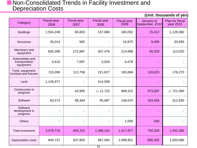### **Non-Consolidated Trends in Facility Investment and Depreciation Costs**

| (Unit: thousands of yen)                       |                            |                            |                            |                            |                               |                                     |  |  |  |  |  |  |
|------------------------------------------------|----------------------------|----------------------------|----------------------------|----------------------------|-------------------------------|-------------------------------------|--|--|--|--|--|--|
| Category                                       | <b>Fiscal year</b><br>2006 | <b>Fiscal year</b><br>2007 | <b>Fiscal year</b><br>2008 | <b>Fiscal year</b><br>2009 | January to<br>September, 2010 | <b>Plan for fiscal</b><br>year 2010 |  |  |  |  |  |  |
| <b>Buildings</b>                               | 1,504,249                  | 66,803                     | 137,686                    | 180,052                    | 15,412                        | 1,128,360                           |  |  |  |  |  |  |
| <b>Structures</b>                              | 26,014                     | 565                        |                            | 16,870                     | 9,490                         | 33,690                              |  |  |  |  |  |  |
| Machinery and<br>equipment                     | 600,286                    | 272,887                    | 507,476                    | 214,698                    | 40,329                        | 113,020                             |  |  |  |  |  |  |
| Automobiles and<br>transportation<br>equipment | 4,610                      | 7,697                      | 3,026                      | 6,678                      |                               |                                     |  |  |  |  |  |  |
| Tools, equipment,<br>furniture and fixtures    | 115,006                    | 112,758                    | 221,627                    | 160,694                    | 118,023                       | 176,270                             |  |  |  |  |  |  |
| Land                                           | 1,145,977                  |                            | 414,059                    |                            | $\blacksquare$                |                                     |  |  |  |  |  |  |
| Construction in<br>progress                    |                            | 43,995                     | $\triangle$ 11,722         | 689,312                    | 373,087                       | $\triangle$ 721,580                 |  |  |  |  |  |  |
| Software                                       | 83,573                     | 98,394                     | 95,987                     | 148,570                    | 183,483                       | 312,630                             |  |  |  |  |  |  |
| Software<br>development in<br>progress         |                            | $\overline{\phantom{a}}$   |                            |                            |                               |                                     |  |  |  |  |  |  |
| <b>Others</b>                                  |                            | $\blacksquare$             |                            | 1,000                      | 500                           |                                     |  |  |  |  |  |  |
| <b>Total investment</b>                        | 3,479,716                  | 603,102                    | 1,368,142                  | 1,417,877                  | 740,326                       | 1,042,390                           |  |  |  |  |  |  |
| Depreciation costs                             | 840,737                    | 937,855                    | 997,560                    | 1,089,951                  | 685,292                       | 1,003,080                           |  |  |  |  |  |  |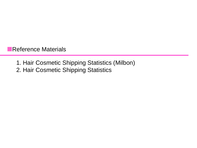Reference Materials

- 1. Hair Cosmetic Shipping Statistics (Milbon)
- 2. Hair Cosmetic Shipping Statistics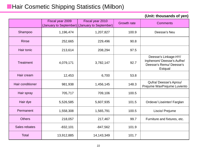# **Hair Cosmetic Shipping Statistics (Milbon)**

|                  | Fiscal year 2009 | Fiscal year 2010                              | <b>Growth rate</b> | <b>Comments</b>                                                                       |
|------------------|------------------|-----------------------------------------------|--------------------|---------------------------------------------------------------------------------------|
|                  |                  | (January to September) (January to September) |                    |                                                                                       |
| Shampoo          | 1,196,474        | 1,207,827                                     | 100.9              | Deesse's Neu                                                                          |
| <b>Rinse</b>     | 252,665          | 229,496                                       | 90.8               |                                                                                       |
| Hair tonic       | 213,614          | 208,294                                       | 97.5               |                                                                                       |
| <b>Treatment</b> | 4,079,171        | 3,782,147                                     | 92.7               | Deesse's Linkage-HY/<br>Inphenom/Deesse's Aufhe/<br>Deesse's Remu/Deesse's<br>Estqual |
| Hair cream       | 12,453           | 6,700                                         | 53.8               |                                                                                       |
| Hair conditioner | 981,938          | 1,456,145                                     | 148.3              | Qufra/Deesse's Aprou/<br>Prejume WaxPrejume Luviento                                  |
| Hair spray       | 705,717          | 709,106                                       | 100.5              |                                                                                       |
| Hair dye         | 5,526,585        | 5,607,935                                     | 101.5              | Ordeve/ Liseinter/ Farglan                                                            |
| Permanent        | 1,558,308        | 1,565,791                                     | 100.5              | Liscio/ Prejume                                                                       |
| <b>Others</b>    | 218,057          | 217,467                                       | 99.7               | Furniture and fixtures, etc.                                                          |
| Sales rebates    | $-832,101$       | $-847,562$                                    | 101.9              |                                                                                       |
| <b>Total</b>     | 13,912,885       | 14, 143, 349                                  | 101.7              |                                                                                       |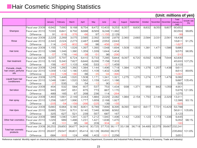# **Hair Cosmetic Shipping Statistics**

**(Unit: millions of yen)** 

|                      |                                      | January         | February       | <b>March</b>    | April           | May             | June           | July            | August | September | October | November | December | Total<br>(January to<br>July) | Growth rate<br>(%) |
|----------------------|--------------------------------------|-----------------|----------------|-----------------|-----------------|-----------------|----------------|-----------------|--------|-----------|---------|----------|----------|-------------------------------|--------------------|
|                      | Fiscal year 2009                     | 6,942           | 7,660          | 9,168           | 8,754           | 8,472           | 10,403         | 9,253           | 8,357  | 8,830     | 8,832   | 8,050    | 9,807    | 60,652                        |                    |
| Shampoo              | Fiscal year 2010                     | 7,033           | 6,841          | 8,792           | 8,688           | 8,569           | 9,248          | 11,382          |        |           |         |          |          | 60,553                        | 99.8%              |
|                      | Difference                           | 91              | $-819$         | $-376$          | $-66$           | 97              | $-1,155$       | 2,129           |        |           |         |          |          | $-90$                         |                    |
|                      | Fiscal year 2009                     | 2,229           | 2,269          | 3,075           | 2,585           | 2,392           | 3,009          | 2,879           | 2,360  | 2,683     | 2,584   | 2,031    | 2,561    | 18,438                        |                    |
| Rinse                | Fiscal year 2010                     | 2,343           | 2,024          | 2,273           | 2,487           | 2,488           | 2,553          | 2,643           |        |           |         |          |          | 16,811                        | 91.2%              |
|                      | Difference                           | 114             | $-245$         | $-802$          | $-98$           | 96              | $-456$         | $-236$          |        |           |         |          |          | $-1,627$                      |                    |
|                      | Fiscal year 2009                     | 1,155           | 1,170          | 1,526           | 1,397           | 1,390           | 1,548          | 1,694           | 1,509  | 1,503     | 1,381   | 1,471    | 1,586    | 9,880                         |                    |
| Hair tonic           | Fiscal year 2010                     | 1,098           | 1,346          | 1,380           | 1,359           | 1,339           | 1,644          | 1,404           |        |           |         |          |          | 9,570                         | 96.9%              |
|                      | Difference                           | $-57$           | 176            | $-146$          | $-38$           | $-51$           | 96             | $-290$          |        |           |         |          |          | $-31C$                        |                    |
|                      | Fiscal year 2009                     | 5,037           | 5,797          | 6,724           | 6,410           | 5,733           | 7,285          | 5,844           | 6,097  | 6,720     | 6,592   | 6,508    | 7,644    | 42,830                        |                    |
| Hair treatment       | Fiscal year 2010                     | 5,193           | 5,340          | 7,827           | 6,846           | 6,266           | 7,158          | 7,303           |        |           |         |          |          | 45,933                        | 107.2%             |
|                      | Difference                           | 156             | $-457$         | 1,103           | 436             | 533             | $-127$         | 1,459           |        |           |         |          |          | 3,103                         |                    |
| Pomade, cheek,       | Fiscal year 2009                     | 1,249           | 1,260          | <b>1,360</b>    | 1,384           | 1,144           | 1,496          | 1,718           | 1,384  | 1,376     | 1,376   | 1,257    | 1,438    | 9,611                         |                    |
| hair cream, perfume  | Fiscal year 2010                     | 1,009           | 1,132          | 1,180           | 1,450           | 1,109           | 1,402          | 1,328           |        |           |         |          |          | 8,610                         | 89.6%              |
| oils.                | Difference                           | $-24C$          | $-128$         | $-18C$          | 66              | $-35$           | $-94$          | $-39C$          |        |           |         |          |          | $-1,001$                      |                    |
| Liquid/ foam hair    | Fiscal year 2009                     | 1,075           | 1,446          | 1,520           | 1,508           | 1,171           | 1,341          | 1,321           | 1,275  | 1,270     | 1,274   | 1,177    | 1,479    | 9,382                         |                    |
| conditioners         | Fiscal year 2010                     | 1,048           | 1,981          | 1,520           | 1,562           | 1,159           | 1,431          | 1,186           |        |           |         |          |          | 9,887                         | 105.4%             |
|                      | Difference                           | $-27$<br>454    | 535            | $\Omega$        | 54<br>607       | $-12$           | 90             | $-135$          |        |           |         |          |          | 505                           |                    |
|                      | Fiscal year 2009                     |                 | 532            | 584             |                 | 537             | 753            | 1,434           | 938    | 1,371     | 959     | 842      | 1,059    | 4,901                         |                    |
| Set lotion           | Fiscal year 2010                     | 943             | 697            | 651             | 875             | 773             | 867            | 1,170           |        |           |         |          |          | 5,976                         | 121.9%             |
|                      | Difference                           | 489             | 165            | 67              | 268             | 236             | 114            | $-264$          |        |           |         |          |          | 1,075                         |                    |
|                      | Fiscal year 2009                     | 1,463           | 1,661          | 2,149           | 2,043           | 1,884           | 2,029          | 2,082           | 1,984  | 2,154     | 1,750   | 2,146    | 2,329    | 13,311                        |                    |
| Hair spray           | Fiscal year 2010                     | 1,258           | 1,607          | 1,990           | 1,777           | 1,659           | 2,168          | 1,927           |        |           |         |          |          | 12,386                        | 93.1%              |
|                      | Difference                           | $-205$<br>5,660 | $-54$<br>6,964 | $-159$<br>9,180 | $-266$<br>8,901 | $-225$<br>6,789 | 139<br>7,899   | $-155$<br>8,395 | 8,090  | 9,610     | 8,617   | 7,721    | 10,429   | $-925$<br>53,788              |                    |
|                      | Fiscal year 2009                     |                 |                |                 |                 |                 |                |                 |        |           |         |          |          |                               |                    |
| Hair dyes            | Fiscal year 2010                     | 5,985           | 7,591          | 9,701           | 9,140           | 7,346           | 8,586          | 8,562           |        |           |         |          |          | 56,911                        | 105.8%             |
|                      | Difference                           | 325             | 627            | 521<br>1,391    | 239             | 557             | 687            | 167             |        |           |         |          |          | 3,123                         |                    |
| Other hair cosmetics | Fiscal year 2009<br>Fiscal year 2010 | 989<br>1,029    | 1,090<br>989   | 1,486           | 1,327<br>1,231  | 1,212<br>1,421  | 1,940<br>1,636 | 1,496<br>1,470  | 1,142  | 1,200     | 1,123   | 1,173    | 1,336    | 9,445<br>9,262                | 98.1%              |
|                      | Difference                           | 40 <sup>1</sup> | $-101$         | 95              | $-96$           | 209             | $-304$         | $-26$           |        |           |         |          |          | $-183$                        |                    |
|                      | Fiscal year 2009                     | 26,253          | 29,850         | 36,677          | 34,916          | 30,725          |                | 37,703 36,117   | 33,138 | 36,718    | 34,489  | 32,375   | 39,667   | 232,241                       |                    |
| Total hair cosmetic  |                                      |                 |                |                 |                 |                 |                |                 |        |           |         |          |          |                               |                    |
| products             | Fiscal year 2010                     | 26,937          | 29,547         | 36,801          | 35,414          | 32,128          |                | 36,692 38,373   |        |           |         |          |          | 235,892                       | 101.6%             |
|                      | Difference                           | 684             | $-303$         | 124             | 498             | 1,403           | $-1,011$       | 2,256           |        |           |         |          |          | 3,651                         |                    |

Reference material: Monthly report on chemical industry statistics (Research and Statistics Department, Economic and Industrial Policy Bureau, Ministry of Economy, Trade and Industry)